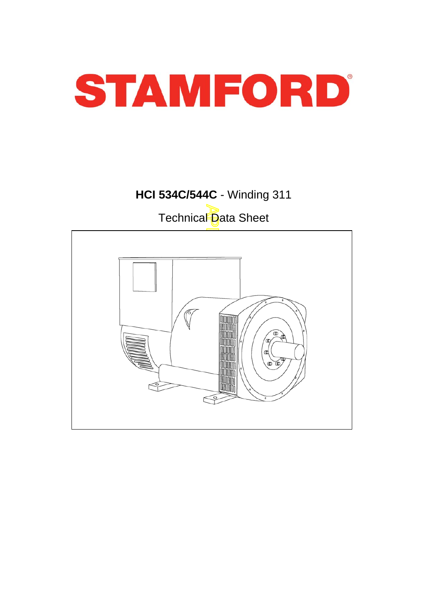

# **HCI 534C/544C** - Winding 311

Technical Data Sheet

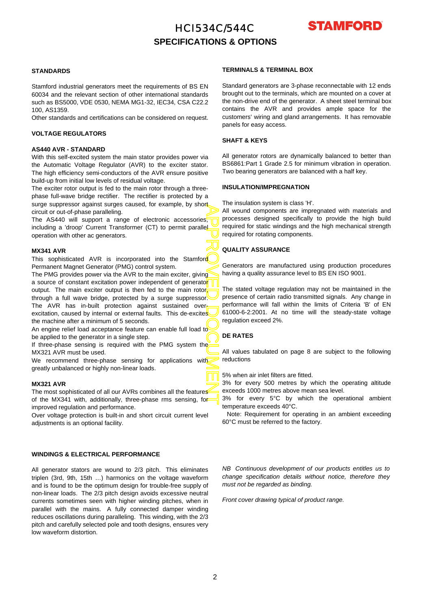## HCI534C/544C **SPECIFICATIONS & OPTIONS**



### **STANDARDS**

Stamford industrial generators meet the requirements of BS EN 60034 and the relevant section of other international standards such as BS5000, VDE 0530, NEMA MG1-32, IEC34, CSA C22.2 100, AS1359.

Other standards and certifications can be considered on request.

### **VOLTAGE REGULATORS**

### **AS440 AVR - STANDARD**

With this self-excited system the main stator provides power via the Automatic Voltage Regulator (AVR) to the exciter stator. The high efficiency semi-conductors of the AVR ensure positive build-up from initial low levels of residual voltage.

The exciter rotor output is fed to the main rotor through a threephase full-wave bridge rectifier. The rectifier is protected by a surge suppressor against surges caused, for example, by short circuit or out-of-phase paralleling.

The AS440 will support a range of electronic accessories, including a 'droop' Current Transformer (CT) to permit parallel operation with other ac generators.

### **MX341 AVR**

This sophisticated AVR is incorporated into the Stamford Permanent Magnet Generator (PMG) control system.

APPROVED DOCUMENT The PMG provides power via the AVR to the main exciter, giving a source of constant excitation power independent of generato<mark>r</mark> output. The main exciter output is then fed to the main rotor, through a full wave bridge, protected by a surge suppressor. The AVR has in-built protection against sustained overexcitation, caused by internal or external faults. This de-excites the machine after a minimum of 5 seconds.

An engine relief load acceptance feature can enable full load to be applied to the generator in a single step.

If three-phase sensing is required with the PMG system the MX321 AVR must be used.

We recommend three-phase sensing for applications with greatly unbalanced or highly non-linear loads.

#### **MX321 AVR**

The most sophisticated of all our AVRs combines all the features of the MX341 with, additionally, three-phase rms sensing, for improved regulation and performance.

Over voltage protection is built-in and short circuit current level adjustments is an optional facility.

### **WINDINGS & ELECTRICAL PERFORMANCE**

All generator stators are wound to 2/3 pitch. This eliminates triplen (3rd, 9th, 15th …) harmonics on the voltage waveform and is found to be the optimum design for trouble-free supply o f non-linear loads. The 2/3 pitch design avoids excessive neutral currents sometimes seen with higher winding pitches, when in parallel with the mains. A fully connected damper winding reduces oscillations during paralleling. This winding, with the 2/3 pitch and carefully selected pole and tooth designs, ensures very low waveform distortion.

### **TERMINALS & TERMINAL BOX**

Standard generators are 3-phase reconnectable with 12 ends brought out to the terminals, which are mounted on a cover at the non-drive end of the generator. A sheet steel terminal bo x contains the AVR and provides ample space for the customers' wiring and gland arrangements. It has removable panels for easy access.

### **SHAFT & KEYS**

All generator rotors are dynamically balanced to better than BS6861:Part 1 Grade 2.5 for minimum vibration in operation. Two bearing generators are balanced with a half key.

### **INSULATION/IMPREGNATION**

The insulation system is class 'H'.

All wound components are impregnated with materials and processes designed specifically to provide the high build required for static windings and the high mechanical strength required for rotating components.

### **QUALITY ASSURANCE**

Generators are manufactured using production procedures having a quality assurance level to BS EN ISO 9001.

The stated voltage regulation may not be maintained in the presence of certain radio transmitted signals. Any change in performance will fall within the limits of Criteria 'B' of EN 61000-6-2:2001. At no time will the steady-state voltage regulation exceed 2%.

### **DE RATES**

All values tabulated on page 8 are subject to the following reductions

5% when air inlet filters are fitted.

3% for every 500 metres by which the operating altitude exceeds 1000 metres above mean sea level.

3% for every 5°C by which the operational ambient temperature exceeds 40°C.

Note: Requirement for operating in an ambient exceeding 60°C must be referred to the factory.

*NB Continuous development of our products entitles us to change specification details without notice, therefore they must not be regarded as binding.* 

*Front cover drawing typical of product range.*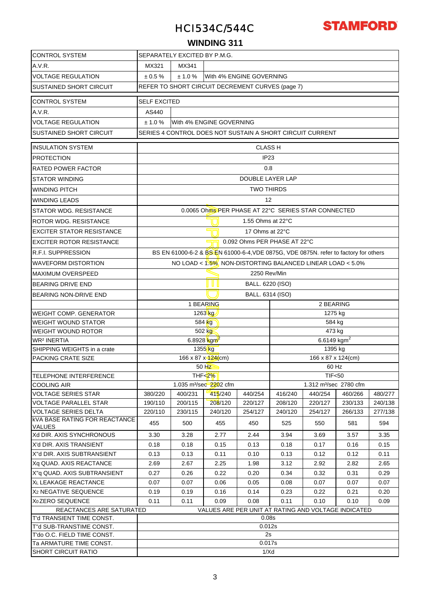

### **WINDING 311**

| <b>CONTROL SYSTEM</b>                                                           | SEPARATELY EXCITED BY P.M.G.                                                                                                                      |         |                                                     |                   |                                                                                |         |         |         |  |  |  |  |
|---------------------------------------------------------------------------------|---------------------------------------------------------------------------------------------------------------------------------------------------|---------|-----------------------------------------------------|-------------------|--------------------------------------------------------------------------------|---------|---------|---------|--|--|--|--|
| A.V.R.                                                                          | MX321<br>MX341                                                                                                                                    |         |                                                     |                   |                                                                                |         |         |         |  |  |  |  |
| <b>VOLTAGE REGULATION</b>                                                       | $\pm 0.5 \%$<br>With 4% ENGINE GOVERNING<br>± 1.0 %                                                                                               |         |                                                     |                   |                                                                                |         |         |         |  |  |  |  |
| <b>SUSTAINED SHORT CIRCUIT</b>                                                  | REFER TO SHORT CIRCUIT DECREMENT CURVES (page 7)                                                                                                  |         |                                                     |                   |                                                                                |         |         |         |  |  |  |  |
|                                                                                 |                                                                                                                                                   |         |                                                     |                   |                                                                                |         |         |         |  |  |  |  |
| <b>CONTROL SYSTEM</b>                                                           | <b>SELF EXCITED</b>                                                                                                                               |         |                                                     |                   |                                                                                |         |         |         |  |  |  |  |
| A.V.R.                                                                          | AS440                                                                                                                                             |         |                                                     |                   |                                                                                |         |         |         |  |  |  |  |
| <b>VOLTAGE REGULATION</b>                                                       | ± 1.0 %<br>With 4% ENGINE GOVERNING                                                                                                               |         |                                                     |                   |                                                                                |         |         |         |  |  |  |  |
| <b>SUSTAINED SHORT CIRCUIT</b>                                                  | SERIES 4 CONTROL DOES NOT SUSTAIN A SHORT CIRCUIT CURRENT                                                                                         |         |                                                     |                   |                                                                                |         |         |         |  |  |  |  |
| <b>INSULATION SYSTEM</b>                                                        | <b>CLASS H</b>                                                                                                                                    |         |                                                     |                   |                                                                                |         |         |         |  |  |  |  |
| <b>PROTECTION</b>                                                               | IP <sub>23</sub>                                                                                                                                  |         |                                                     |                   |                                                                                |         |         |         |  |  |  |  |
| RATED POWER FACTOR                                                              |                                                                                                                                                   |         | 0.8                                                 |                   |                                                                                |         |         |         |  |  |  |  |
| <b>STATOR WINDING</b>                                                           | DOUBLE LAYER LAP                                                                                                                                  |         |                                                     |                   |                                                                                |         |         |         |  |  |  |  |
| <b>WINDING PITCH</b>                                                            |                                                                                                                                                   |         |                                                     | <b>TWO THIRDS</b> |                                                                                |         |         |         |  |  |  |  |
| <b>WINDING LEADS</b>                                                            |                                                                                                                                                   |         |                                                     | 12                |                                                                                |         |         |         |  |  |  |  |
| <b>STATOR WDG, RESISTANCE</b>                                                   |                                                                                                                                                   |         | 0.0065 Ohms PER PHASE AT 22°C SERIES STAR CONNECTED |                   |                                                                                |         |         |         |  |  |  |  |
| <b>ROTOR WDG, RESISTANCE</b>                                                    |                                                                                                                                                   |         |                                                     | 1.55 Ohms at 22°C |                                                                                |         |         |         |  |  |  |  |
| <b>EXCITER STATOR RESISTANCE</b>                                                |                                                                                                                                                   |         |                                                     | 17 Ohms at 22°C   |                                                                                |         |         |         |  |  |  |  |
| <b>EXCITER ROTOR RESISTANCE</b>                                                 |                                                                                                                                                   |         |                                                     |                   | 0.092 Ohms PER PHASE AT 22°C                                                   |         |         |         |  |  |  |  |
| <b>R.F.I. SUPPRESSION</b>                                                       |                                                                                                                                                   |         |                                                     |                   |                                                                                |         |         |         |  |  |  |  |
| <b>WAVEFORM DISTORTION</b>                                                      | BS EN 61000-6-2 & BS EN 61000-6-4, VDE 0875G, VDE 0875N. refer to factory for others<br>NO LOAD < 1.5% NON-DISTORTING BALANCED LINEAR LOAD < 5.0% |         |                                                     |                   |                                                                                |         |         |         |  |  |  |  |
| <b>MAXIMUM OVERSPEED</b>                                                        | 2250 Rev/Min                                                                                                                                      |         |                                                     |                   |                                                                                |         |         |         |  |  |  |  |
| <b>BEARING DRIVE END</b>                                                        | I U II<br>BALL. 6220 (ISO)                                                                                                                        |         |                                                     |                   |                                                                                |         |         |         |  |  |  |  |
| <b>BEARING NON-DRIVE END</b>                                                    | BALL. 6314 (ISO)                                                                                                                                  |         |                                                     |                   |                                                                                |         |         |         |  |  |  |  |
|                                                                                 | 1 BEARING<br>2 BEARING                                                                                                                            |         |                                                     |                   |                                                                                |         |         |         |  |  |  |  |
| <b>WEIGHT COMP. GENERATOR</b>                                                   |                                                                                                                                                   |         | 1263 kg                                             |                   | 1275 kg                                                                        |         |         |         |  |  |  |  |
| <b>WEIGHT WOUND STATOR</b>                                                      |                                                                                                                                                   |         | 584 kg                                              |                   |                                                                                | 584 kg  |         |         |  |  |  |  |
| <b>WEIGHT WOUND ROTOR</b>                                                       |                                                                                                                                                   |         | 502 kg                                              |                   |                                                                                | 473 kg  |         |         |  |  |  |  |
| <b>WR<sup>2</sup> INERTIA</b>                                                   |                                                                                                                                                   |         | 6.8928 $kgm^2$                                      |                   | 6.6149 $kgm2$                                                                  |         |         |         |  |  |  |  |
| SHIPPING WEIGHTS in a crate                                                     |                                                                                                                                                   |         | 1355 <sub>kg</sub>                                  |                   | 1395 kg                                                                        |         |         |         |  |  |  |  |
| PACKING CRATE SIZE                                                              |                                                                                                                                                   |         | 166 x 87 x 124(cm)                                  |                   | 166 x 87 x 124(cm)                                                             |         |         |         |  |  |  |  |
|                                                                                 |                                                                                                                                                   |         | 50 HZ                                               |                   | 60 Hz                                                                          |         |         |         |  |  |  |  |
| TELEPHONE INTERFERENCE                                                          |                                                                                                                                                   |         | THF $\leq$ 2%                                       |                   | <b>TIF&lt;50</b>                                                               |         |         |         |  |  |  |  |
| <b>COOLING AIR</b><br><b>VOLTAGE SERIES STAR</b>                                | 380/220                                                                                                                                           | 400/231 | 1.035 m <sup>3</sup> /sec 2202 cfm<br>415/240       | 440/254           | 1.312 m <sup>3</sup> /sec 2780 cfm<br>416/240<br>440/254<br>460/266<br>480/277 |         |         |         |  |  |  |  |
| <b>VOLTAGE PARALLEL STAR</b>                                                    | 190/110                                                                                                                                           | 200/115 | 208/120                                             | 220/127           | 208/120                                                                        | 220/127 | 230/133 | 240/138 |  |  |  |  |
| <b>VOLTAGE SERIES DELTA</b>                                                     | 220/110                                                                                                                                           | 230/115 | 240/120                                             | 254/127           | 240/120                                                                        | 254/127 | 266/133 | 277/138 |  |  |  |  |
| <b>KVA BASE RATING FOR REACTANCE</b><br><b>VALUES</b>                           | 455                                                                                                                                               | 500     | 455                                                 | 450               | 525                                                                            | 550     | 581     | 594     |  |  |  |  |
| Xd DIR. AXIS SYNCHRONOUS                                                        | 3.30                                                                                                                                              | 3.28    | 2.77                                                | 2.44              | 3.94                                                                           | 3.69    | 3.57    | 3.35    |  |  |  |  |
| X'd DIR. AXIS TRANSIENT                                                         | 0.18                                                                                                                                              | 0.18    | 0.15                                                | 0.13              | 0.18                                                                           | 0.17    | 0.16    | 0.15    |  |  |  |  |
| X"d DIR. AXIS SUBTRANSIENT                                                      | 0.13                                                                                                                                              | 0.13    | 0.11                                                | 0.10              | 0.13                                                                           | 0.12    | 0.12    | 0.11    |  |  |  |  |
| Xq QUAD. AXIS REACTANCE                                                         | 2.69                                                                                                                                              | 2.67    | 2.25                                                | 1.98              | 3.12                                                                           | 2.92    | 2.82    | 2.65    |  |  |  |  |
| X"q QUAD. AXIS SUBTRANSIENT                                                     | 0.27                                                                                                                                              | 0.26    | 0.22                                                | 0.20              | 0.34                                                                           | 0.32    | 0.31    | 0.29    |  |  |  |  |
| XL LEAKAGE REACTANCE                                                            | 0.07                                                                                                                                              | 0.07    | 0.06                                                | 0.05              | 0.08                                                                           | 0.07    | 0.07    | 0.07    |  |  |  |  |
| X <sub>2</sub> NEGATIVE SEQUENCE                                                | 0.19                                                                                                                                              | 0.19    | 0.16                                                | 0.14              | 0.23                                                                           | 0.22    | 0.21    | 0.20    |  |  |  |  |
| X <sub>0</sub> ZERO SEQUENCE                                                    | 0.11<br>0.11<br>0.09<br>0.08<br>0.11<br>0.10<br>0.10<br>0.09                                                                                      |         |                                                     |                   |                                                                                |         |         |         |  |  |  |  |
| VALUES ARE PER UNIT AT RATING AND VOLTAGE INDICATED<br>REACTANCES ARE SATURATED |                                                                                                                                                   |         |                                                     |                   |                                                                                |         |         |         |  |  |  |  |
| T'd TRANSIENT TIME CONST.                                                       |                                                                                                                                                   |         |                                                     | 0.08 <sub>S</sub> |                                                                                |         |         |         |  |  |  |  |
| T"d SUB-TRANSTIME CONST.<br>T'do O.C. FIELD TIME CONST.                         |                                                                                                                                                   |         |                                                     | 0.012s<br>2s      |                                                                                |         |         |         |  |  |  |  |
| Ta ARMATURE TIME CONST.                                                         |                                                                                                                                                   |         |                                                     | 0.017s            |                                                                                |         |         |         |  |  |  |  |
| <b>SHORT CIRCUIT RATIO</b>                                                      |                                                                                                                                                   |         |                                                     | 1/Xd              |                                                                                |         |         |         |  |  |  |  |
|                                                                                 |                                                                                                                                                   |         |                                                     |                   |                                                                                |         |         |         |  |  |  |  |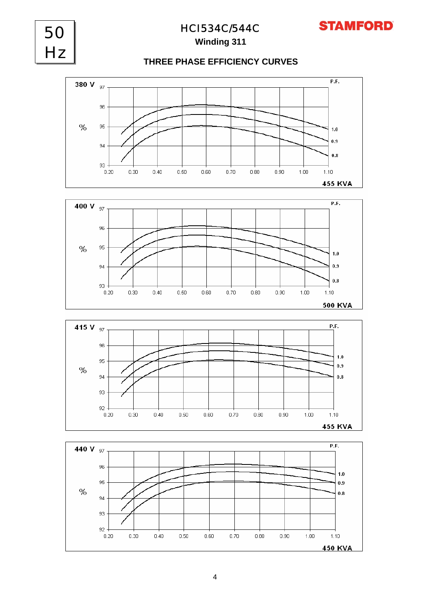## **Winding 311**

## **THREE PHASE EFFICIENCY CURVES**







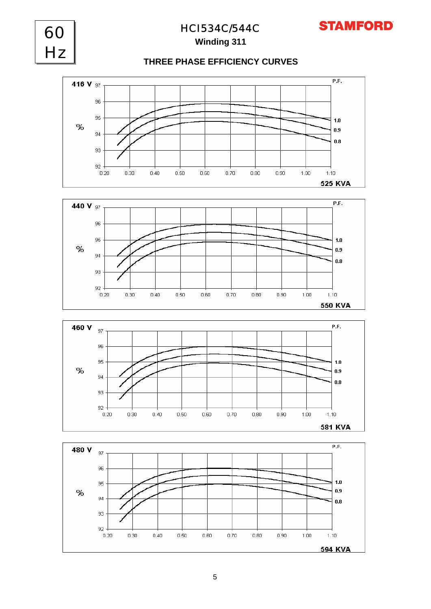

## **THREE PHASE EFFICIENCY CURVES**

**Winding 311** HCI534C/544C

60

Hz







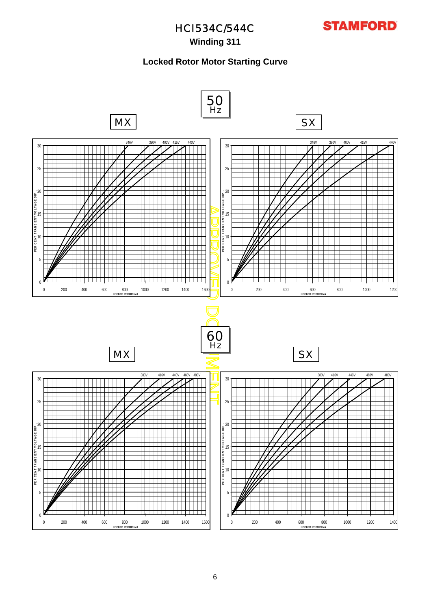

## **Winding 311**

### **Locked Rotor Motor Starting Curve**

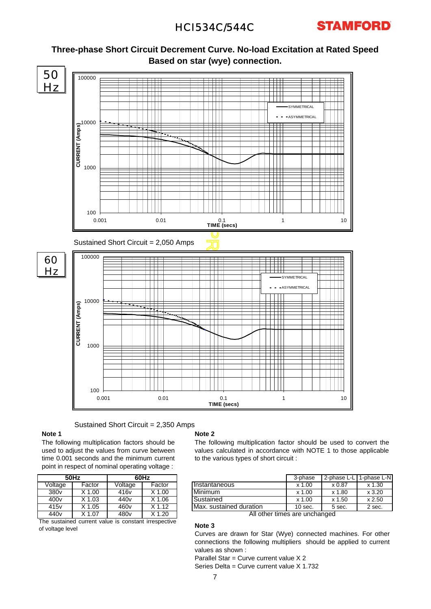



**Three-phase Short Circuit Decrement Curve. No-load Excitation at Rated Speed Based on star (wye) connection.**

Sustained Short Circuit = 2,350 Amps

### **Note 1**

The following multiplication factors should be used to adjust the values from curve between time 0.001 seconds and the minimum current point in respect of nominal operating voltage :

|                                                      | 50Hz     | 60Hz             |          |  |  |  |  |  |  |
|------------------------------------------------------|----------|------------------|----------|--|--|--|--|--|--|
| Voltage                                              | Factor   | Voltage          | Factor   |  |  |  |  |  |  |
| 380 <sub>v</sub>                                     | $X$ 1.00 | 416 <sub>v</sub> | $X$ 1.00 |  |  |  |  |  |  |
| 400 <sub>v</sub>                                     | $X$ 1.03 | 440 <sub>v</sub> | $X$ 1.06 |  |  |  |  |  |  |
| 415 <sub>v</sub>                                     | $X$ 1.05 | 460 <sub>v</sub> | $X$ 1.12 |  |  |  |  |  |  |
| 440 <sub>v</sub>                                     | $X$ 1.07 | 480 <sub>v</sub> | $X$ 1.20 |  |  |  |  |  |  |
| The sustained current value is constant irrespective |          |                  |          |  |  |  |  |  |  |

The sustained current value is constant irrespective of voltage level

### **Note 2**

The following multiplication factor should be used to convert the values calculated in accordance with NOTE 1 to those applicable to the various types of short circuit :

| 60Hz |        |                         | 3-phase   |               | 2-phase L-L I 1-phase L-N |
|------|--------|-------------------------|-----------|---------------|---------------------------|
| ge   | Factor | <b>Instantaneous</b>    | $x$ 1.00  | $\times 0.87$ | $x\,1.30$                 |
|      | X 1.00 | Minimum                 | $x$ 1.00  | x 1.80        | x3.20                     |
|      | X 1.06 | Sustained               | $x$ 1.00  | x 1.50        | x 2.50                    |
|      | K 1.12 | Max. sustained duration | $10$ sec. | 5 sec.        | 2 sec.                    |

All other times are unchanged

### **Note 3**

Curves are drawn for Star (Wye) connected machines. For other connections the following multipliers should be applied to current values as shown :

Parallel Star = Curve current value X 2 Series Delta = Curve current value X 1.732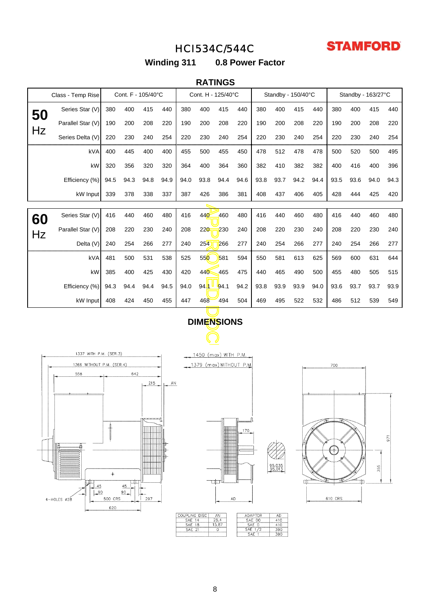

**Winding 311 0.8 Power Factor**

### **RATINGS**

|                                                | Cont. F - 105/40°C<br>Class - Temp Rise |      |      | Cont. H - 125/40°C |      |      | Standby - 150/40°C      |      |      |      | Standby - 163/27°C |      |      |      |      |      |      |
|------------------------------------------------|-----------------------------------------|------|------|--------------------|------|------|-------------------------|------|------|------|--------------------|------|------|------|------|------|------|
| 50                                             | Series Star (V)                         | 380  | 400  | 415                | 440  | 380  | 400                     | 415  | 440  | 380  | 400                | 415  | 440  | 380  | 400  | 415  | 440  |
|                                                | Parallel Star (V)                       | 190  | 200  | 208                | 220  | 190  | 200                     | 208  | 220  | 190  | 200                | 208  | 220  | 190  | 200  | 208  | 220  |
| Hz                                             | Series Delta (V)                        | 220  | 230  | 240                | 254  | 220  | 230                     | 240  | 254  | 220  | 230                | 240  | 254  | 220  | 230  | 240  | 254  |
|                                                | kVA                                     | 400  | 445  | 400                | 400  | 455  | 500                     | 455  | 450  | 478  | 512                | 478  | 478  | 500  | 520  | 500  | 495  |
|                                                | kW                                      | 320  | 356  | 320                | 320  | 364  | 400                     | 364  | 360  | 382  | 410                | 382  | 382  | 400  | 416  | 400  | 396  |
|                                                | Efficiency (%)                          | 94.5 | 94.3 | 94.8               | 94.9 | 94.0 | 93.8                    | 94.4 | 94.6 | 93.8 | 93.7               | 94.2 | 94.4 | 93.5 | 93.6 | 94.0 | 94.3 |
|                                                | kW Input                                | 339  | 378  | 338                | 337  | 387  | 426                     | 386  | 381  | 408  | 437                | 406  | 405  | 428  | 444  | 425  | 420  |
|                                                |                                         |      |      |                    |      |      |                         |      |      |      |                    |      |      |      |      |      |      |
| 60                                             | Series Star (V)                         | 416  | 440  | 460                | 480  | 416  | 440                     | 460  | 480  | 416  | 440                | 460  | 480  | 416  | 440  | 460  | 480  |
| Hz                                             | Parallel Star (V)                       | 208  | 220  | 230                | 240  | 208  | 220                     | 230  | 240  | 208  | 220                | 230  | 240  | 208  | 220  | 230  | 240  |
|                                                | Delta (V)                               | 240  | 254  | 266                | 277  | 240  | 254                     | 266  | 277  | 240  | 254                | 266  | 277  | 240  | 254  | 266  | 277  |
|                                                | kVA                                     | 481  | 500  | 531                | 538  | 525  | 550                     | 581  | 594  | 550  | 581                | 613  | 625  | 569  | 600  | 631  | 644  |
|                                                | kW                                      | 385  | 400  | 425                | 430  | 420  | 440                     | 465  | 475  | 440  | 465                | 490  | 500  | 455  | 480  | 505  | 515  |
|                                                | Efficiency (%)                          | 94.3 | 94.4 | 94.4               | 94.5 | 94.0 | 94.1                    | 94.1 | 94.2 | 93.8 | 93.9               | 93.9 | 94.0 | 93.6 | 93.7 | 93.7 | 93.9 |
|                                                | kW Input                                | 408  | 424  | 450                | 455  | 447  | 468                     | 494  | 504  | 469  | 495                | 522  | 532  | 486  | 512  | 539  | 549  |
| <b>DIMENSIONS</b>                              |                                         |      |      |                    |      |      |                         |      |      |      |                    |      |      |      |      |      |      |
|                                                |                                         |      |      |                    |      |      |                         |      |      |      |                    |      |      |      |      |      |      |
| 1337 WITH P.M. (SER.3)<br>1450 (max) WITH P.M. |                                         |      |      |                    |      |      |                         |      |      |      |                    |      |      |      |      |      |      |
| 1266 WITHOUT P.M. (SER.4)                      |                                         |      |      |                    |      |      | 1379 (max) WITHOUT P.M. |      |      |      |                    |      |      | 700  |      |      |      |
| 642<br>558                                     |                                         |      |      |                    |      |      |                         |      |      |      |                    |      |      |      |      |      |      |
|                                                |                                         |      |      | 215                | AN   |      |                         |      |      |      |                    |      |      |      |      |      |      |
|                                                |                                         |      |      |                    |      |      |                         |      |      |      |                    |      |      |      |      |      |      |
|                                                |                                         |      |      |                    |      |      |                         |      |      |      |                    |      |      |      |      |      |      |

## **DIMENSIONS**